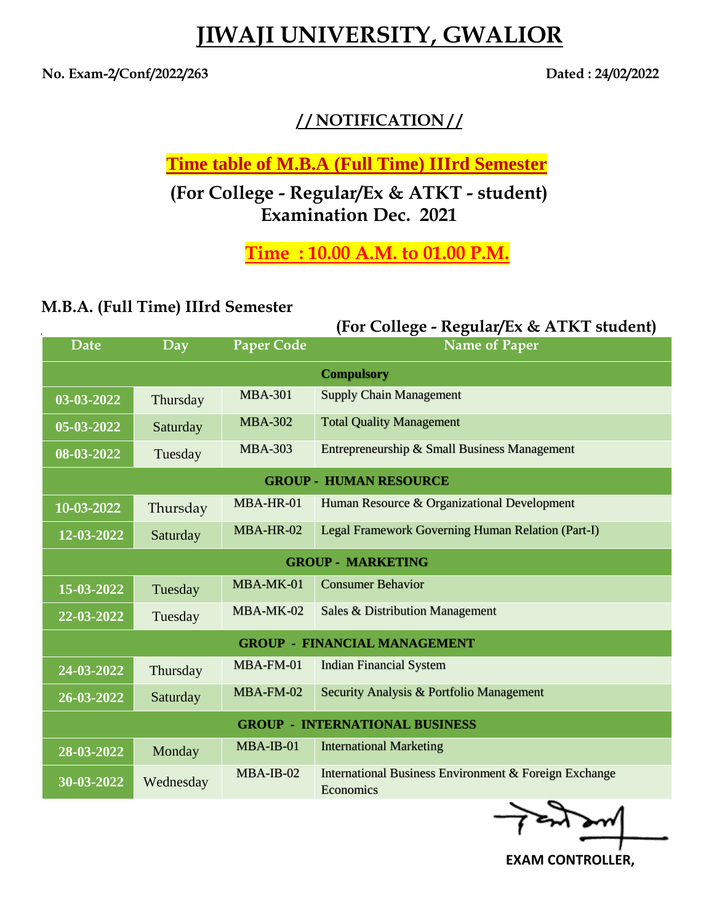## **JIWAJI UNIVERSITY, GWALIOR**

**No. Exam-2/Conf/2022/263 Dated : 24/02/2022**

## **/ / NOTIFICATION / /**

**Time table of M.B.A (Full Time) IIIrd Semester**

**(For College - Regular/Ex & ATKT - student) Examination Dec. 2021**

**Time : 10.00 A.M. to 01.00 P.M.**

## **M.B.A. (Full Time) IIIrd Semester**

|                                       |           | (For College - Regular/Ex & ATKT student) |                                                                    |  |
|---------------------------------------|-----------|-------------------------------------------|--------------------------------------------------------------------|--|
| <b>Date</b>                           | Day       | <b>Paper Code</b>                         | <b>Name of Paper</b>                                               |  |
| <b>Compulsory</b>                     |           |                                           |                                                                    |  |
| 03-03-2022                            | Thursday  | <b>MBA-301</b>                            | <b>Supply Chain Management</b>                                     |  |
| 05-03-2022                            | Saturday  | <b>MBA-302</b>                            | <b>Total Quality Management</b>                                    |  |
| 08-03-2022                            | Tuesday   | <b>MBA-303</b>                            | Entrepreneurship & Small Business Management                       |  |
| <b>GROUP - HUMAN RESOURCE</b>         |           |                                           |                                                                    |  |
| 10-03-2022                            | Thursday  | MBA-HR-01                                 | Human Resource & Organizational Development                        |  |
| 12-03-2022                            | Saturday  | MBA-HR-02                                 | Legal Framework Governing Human Relation (Part-I)                  |  |
| <b>GROUP - MARKETING</b>              |           |                                           |                                                                    |  |
| 15-03-2022                            | Tuesday   | MBA-MK-01                                 | <b>Consumer Behavior</b>                                           |  |
| 22-03-2022                            | Tuesday   | MBA-MK-02                                 | <b>Sales &amp; Distribution Management</b>                         |  |
| <b>GROUP - FINANCIAL MANAGEMENT</b>   |           |                                           |                                                                    |  |
| 24-03-2022                            | Thursday  | $MBA-FM-01$                               | <b>Indian Financial System</b>                                     |  |
| 26-03-2022                            | Saturday  | $MBA$ -FM-02                              | Security Analysis & Portfolio Management                           |  |
| <b>GROUP - INTERNATIONAL BUSINESS</b> |           |                                           |                                                                    |  |
| 28-03-2022                            | Monday    | $MBA-IB-01$                               | <b>International Marketing</b>                                     |  |
| 30-03-2022                            | Wednesday | $MBA-IB-02$                               | International Business Environment & Foreign Exchange<br>Economics |  |

 **EXAM CONTROLLER,**